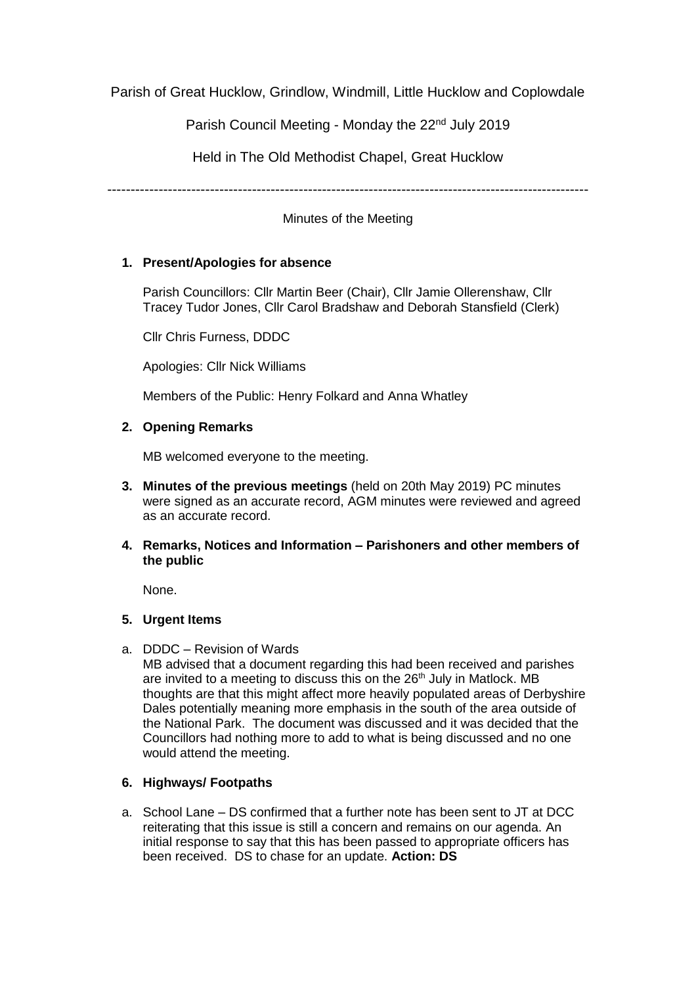Parish of Great Hucklow, Grindlow, Windmill, Little Hucklow and Coplowdale

Parish Council Meeting - Monday the 22<sup>nd</sup> July 2019

Held in The Old Methodist Chapel, Great Hucklow

-------------------------------------------------------------------------------------------------------

Minutes of the Meeting

# **1. Present/Apologies for absence**

Parish Councillors: Cllr Martin Beer (Chair), Cllr Jamie Ollerenshaw, Cllr Tracey Tudor Jones, Cllr Carol Bradshaw and Deborah Stansfield (Clerk)

Cllr Chris Furness, DDDC

Apologies: Cllr Nick Williams

Members of the Public: Henry Folkard and Anna Whatley

# **2. Opening Remarks**

MB welcomed everyone to the meeting.

- **3. Minutes of the previous meetings** (held on 20th May 2019) PC minutes were signed as an accurate record, AGM minutes were reviewed and agreed as an accurate record.
- **4. Remarks, Notices and Information – Parishoners and other members of the public**

None.

## **5. Urgent Items**

a. DDDC – Revision of Wards

MB advised that a document regarding this had been received and parishes are invited to a meeting to discuss this on the 26<sup>th</sup> July in Matlock. MB thoughts are that this might affect more heavily populated areas of Derbyshire Dales potentially meaning more emphasis in the south of the area outside of the National Park. The document was discussed and it was decided that the Councillors had nothing more to add to what is being discussed and no one would attend the meeting.

## **6. Highways/ Footpaths**

a. School Lane – DS confirmed that a further note has been sent to JT at DCC reiterating that this issue is still a concern and remains on our agenda. An initial response to say that this has been passed to appropriate officers has been received. DS to chase for an update. **Action: DS**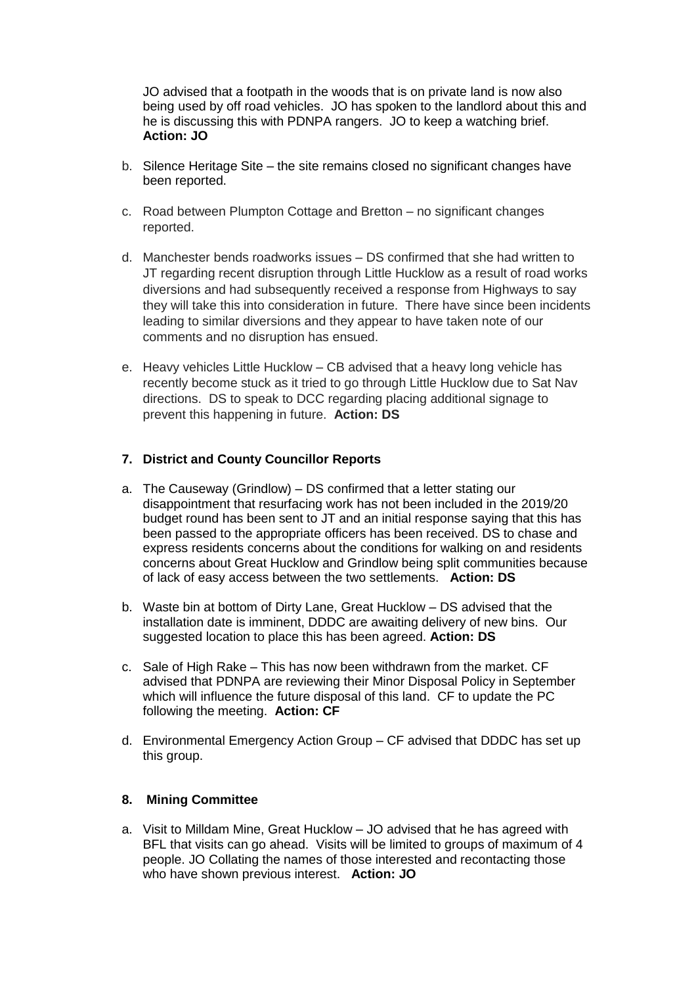JO advised that a footpath in the woods that is on private land is now also being used by off road vehicles. JO has spoken to the landlord about this and he is discussing this with PDNPA rangers. JO to keep a watching brief. **Action: JO**

- b. Silence Heritage Site the site remains closed no significant changes have been reported.
- c. Road between Plumpton Cottage and Bretton no significant changes reported.
- d. Manchester bends roadworks issues DS confirmed that she had written to JT regarding recent disruption through Little Hucklow as a result of road works diversions and had subsequently received a response from Highways to say they will take this into consideration in future. There have since been incidents leading to similar diversions and they appear to have taken note of our comments and no disruption has ensued.
- e. Heavy vehicles Little Hucklow CB advised that a heavy long vehicle has recently become stuck as it tried to go through Little Hucklow due to Sat Nav directions. DS to speak to DCC regarding placing additional signage to prevent this happening in future. **Action: DS**

## **7. District and County Councillor Reports**

- a. The Causeway (Grindlow) DS confirmed that a letter stating our disappointment that resurfacing work has not been included in the 2019/20 budget round has been sent to JT and an initial response saying that this has been passed to the appropriate officers has been received. DS to chase and express residents concerns about the conditions for walking on and residents concerns about Great Hucklow and Grindlow being split communities because of lack of easy access between the two settlements. **Action: DS**
- b. Waste bin at bottom of Dirty Lane, Great Hucklow DS advised that the installation date is imminent, DDDC are awaiting delivery of new bins. Our suggested location to place this has been agreed. **Action: DS**
- c. Sale of High Rake This has now been withdrawn from the market. CF advised that PDNPA are reviewing their Minor Disposal Policy in September which will influence the future disposal of this land. CF to update the PC following the meeting. **Action: CF**
- d. Environmental Emergency Action Group CF advised that DDDC has set up this group.

#### **8. Mining Committee**

a. Visit to Milldam Mine, Great Hucklow – JO advised that he has agreed with BFL that visits can go ahead. Visits will be limited to groups of maximum of 4 people. JO Collating the names of those interested and recontacting those who have shown previous interest. **Action: JO**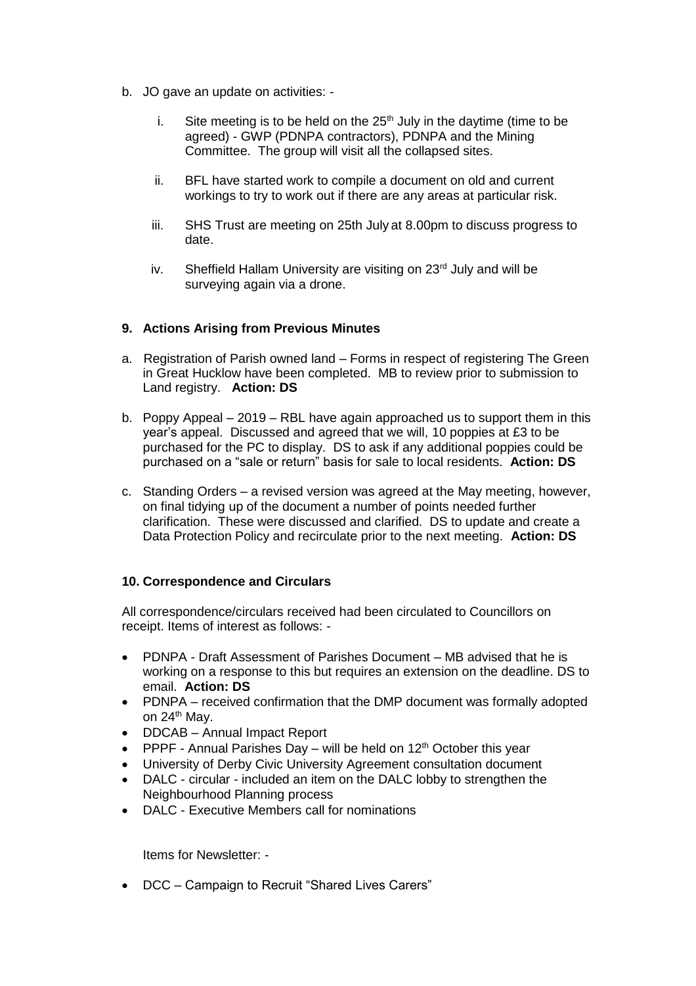- b. JO gave an update on activities:
	- i. Site meeting is to be held on the  $25<sup>th</sup>$  July in the daytime (time to be agreed) - GWP (PDNPA contractors), PDNPA and the Mining Committee. The group will visit all the collapsed sites.
	- ii. BFL have started work to compile a document on old and current workings to try to work out if there are any areas at particular risk.
	- iii. SHS Trust are meeting on 25th July at 8.00pm to discuss progress to date.
	- iv. Sheffield Hallam University are visiting on  $23<sup>rd</sup>$  July and will be surveying again via a drone.

## **9. Actions Arising from Previous Minutes**

- a. Registration of Parish owned land Forms in respect of registering The Green in Great Hucklow have been completed. MB to review prior to submission to Land registry. **Action: DS**
- b. Poppy Appeal 2019 RBL have again approached us to support them in this year's appeal. Discussed and agreed that we will, 10 poppies at £3 to be purchased for the PC to display. DS to ask if any additional poppies could be purchased on a "sale or return" basis for sale to local residents. **Action: DS**
- c. Standing Orders a revised version was agreed at the May meeting, however, on final tidying up of the document a number of points needed further clarification. These were discussed and clarified. DS to update and create a Data Protection Policy and recirculate prior to the next meeting. **Action: DS**

## **10. Correspondence and Circulars**

All correspondence/circulars received had been circulated to Councillors on receipt. Items of interest as follows: -

- PDNPA Draft Assessment of Parishes Document MB advised that he is working on a response to this but requires an extension on the deadline. DS to email. **Action: DS**
- PDNPA received confirmation that the DMP document was formally adopted on 24<sup>th</sup> May.
- DDCAB Annual Impact Report
- PPPF Annual Parishes Day will be held on  $12<sup>th</sup>$  October this year
- University of Derby Civic University Agreement consultation document
- DALC circular included an item on the DALC lobby to strengthen the Neighbourhood Planning process
- DALC Executive Members call for nominations

Items for Newsletter: -

DCC – Campaign to Recruit "Shared Lives Carers"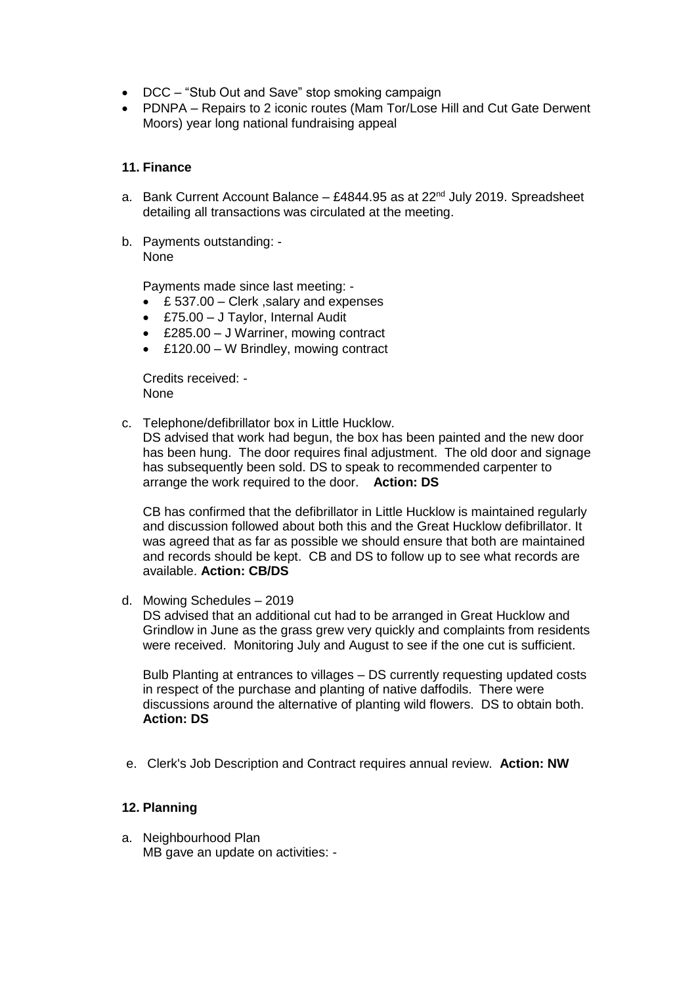- DCC "Stub Out and Save" stop smoking campaign
- PDNPA Repairs to 2 iconic routes (Mam Tor/Lose Hill and Cut Gate Derwent Moors) year long national fundraising appeal

#### **11. Finance**

- a. Bank Current Account Balance £4844.95 as at 22<sup>nd</sup> July 2019. Spreadsheet detailing all transactions was circulated at the meeting.
- b. Payments outstanding: None

Payments made since last meeting: -

- £ 537.00 Clerk ,salary and expenses
- £75.00 J Taylor, Internal Audit
- £285.00 J Warriner, mowing contract
- £120.00 W Brindley, mowing contract

Credits received: - None

c. Telephone/defibrillator box in Little Hucklow.

DS advised that work had begun, the box has been painted and the new door has been hung. The door requires final adjustment. The old door and signage has subsequently been sold. DS to speak to recommended carpenter to arrange the work required to the door. **Action: DS**

CB has confirmed that the defibrillator in Little Hucklow is maintained regularly and discussion followed about both this and the Great Hucklow defibrillator. It was agreed that as far as possible we should ensure that both are maintained and records should be kept. CB and DS to follow up to see what records are available. **Action: CB/DS**

d. Mowing Schedules – 2019

DS advised that an additional cut had to be arranged in Great Hucklow and Grindlow in June as the grass grew very quickly and complaints from residents were received. Monitoring July and August to see if the one cut is sufficient.

Bulb Planting at entrances to villages – DS currently requesting updated costs in respect of the purchase and planting of native daffodils. There were discussions around the alternative of planting wild flowers. DS to obtain both. **Action: DS**

e. Clerk's Job Description and Contract requires annual review. **Action: NW**

## **12. Planning**

a. Neighbourhood Plan MB gave an update on activities: -